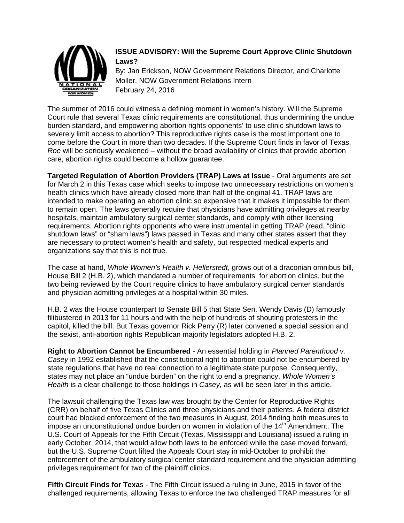

# **ISSUE ADVISORY: Will the Supreme Court Approve Clinic Shutdown Laws?**

By: Jan Erickson, NOW Government Relations Director, and Charlotte Moller, NOW Government Relations Intern February 24, 2016

The summer of 2016 could witness a defining moment in women's history. Will the Supreme Court rule that several Texas clinic requirements are constitutional, thus undermining the undue burden standard, and empowering abortion rights opponents' to use clinic shutdown laws to severely limit access to abortion? This reproductive rights case is the most important one to come before the Court in more than two decades. If the Supreme Court finds in favor of Texas, *Roe* will be seriously weakened – without the broad availability of clinics that provide abortion care, abortion rights could become a hollow guarantee.

**Targeted Regulation of Abortion Providers (TRAP) Laws at Issue** - Oral arguments are set for March 2 in this Texas case which seeks to impose two unnecessary restrictions on women's health clinics which have already closed more than half of the original 41. TRAP laws are intended to make operating an abortion clinic so expensive that it makes it impossible for them to remain open. The laws generally require that physicians have admitting privileges at nearby hospitals, maintain ambulatory surgical center standards, and comply with other licensing requirements. Abortion rights opponents who were instrumental in getting TRAP (read, "clinic shutdown laws" or "sham laws") laws passed in Texas and many other states assert that they are necessary to protect women's health and safety, but respected medical experts and organizations say that this is not true.

The case at hand, *Whole Women's Health v. Hellerstedt*, grows out of a draconian omnibus bill, House Bill 2 (H.B. 2), which mandated a number of requirements for abortion clinics, but the two being reviewed by the Court require clinics to have ambulatory surgical center standards and physician admitting privileges at a hospital within 30 miles.

H.B. 2 was the House counterpart to Senate Bill 5 that State Sen. Wendy Davis (D) famously filibustered in 2013 for 11 hours and with the help of hundreds of shouting protesters in the capitol, killed the bill. But Texas governor Rick Perry (R) later convened a special session and the sexist, anti-abortion rights Republican majority legislators adopted H.B. 2.

**Right to Abortion Cannot be Encumbered** - An essential holding in *Planned Parenthood v. Casey* in 1992 established that the constitutional right to abortion could not be encumbered by state regulations that have no real connection to a legitimate state purpose. Consequently, states may not place an "undue burden" on the right to end a pregnancy. *Whole Women's Health* is a clear challenge to those holdings in *Casey,* as will be seen later in this article.

The lawsuit challenging the Texas law was brought by the Center for Reproductive Rights (CRR) on behalf of five Texas Clinics and three physicians and their patients. A federal district court had blocked enforcement of the two measures in August, 2014 finding both measures to impose an unconstitutional undue burden on women in violation of the  $14<sup>th</sup>$  Amendment. The U.S. Court of Appeals for the Fifth Circuit (Texas, Mississippi and Louisiana) issued a ruling in early October, 2014, that would allow both laws to be enforced while the case moved forward, but the U.S. Supreme Court lifted the Appeals Court stay in mid-October to prohibit the enforcement of the ambulatory surgical center standard requirement and the physician admitting privileges requirement for two of the plaintiff clinics.

**Fifth Circuit Finds for Texa**s - The Fifth Circuit issued a ruling in June, 2015 in favor of the challenged requirements, allowing Texas to enforce the two challenged TRAP measures for all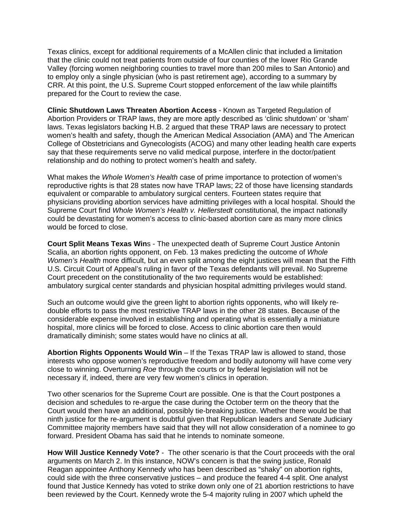Texas clinics, except for additional requirements of a McAllen clinic that included a limitation that the clinic could not treat patients from outside of four counties of the lower Rio Grande Valley (forcing women neighboring counties to travel more than 200 miles to San Antonio) and to employ only a single physician (who is past retirement age), according to a summary by CRR. At this point, the U.S. Supreme Court stopped enforcement of the law while plaintiffs prepared for the Court to review the case.

**Clinic Shutdown Laws Threaten Abortion Access** - Known as Targeted Regulation of Abortion Providers or TRAP laws, they are more aptly described as 'clinic shutdown' or 'sham' laws. Texas legislators backing H.B. 2 argued that these TRAP laws are necessary to protect women's health and safety, though the American Medical Association (AMA) and The American College of Obstetricians and Gynecologists (ACOG) and many other leading health care experts say that these requirements serve no valid medical purpose, interfere in the doctor/patient relationship and do nothing to protect women's health and safety.

What makes the *Whole Women's Health* case of prime importance to protection of women's reproductive rights is that 28 states now have TRAP laws; 22 of those have licensing standards equivalent or comparable to ambulatory surgical centers. Fourteen states require that physicians providing abortion services have admitting privileges with a local hospital. Should the Supreme Court find *Whole Women's Health v. Hellerstedt* constitutional, the impact nationally could be devastating for women's access to clinic-based abortion care as many more clinics would be forced to close.

**Court Split Means Texas Win**s - The unexpected death of Supreme Court Justice Antonin Scalia, an abortion rights opponent, on Feb. 13 makes predicting the outcome of *Whole Women's Health* more difficult, but an even split among the eight justices will mean that the Fifth U.S. Circuit Court of Appeal's ruling in favor of the Texas defendants will prevail. No Supreme Court precedent on the constitutionality of the two requirements would be established: ambulatory surgical center standards and physician hospital admitting privileges would stand.

Such an outcome would give the green light to abortion rights opponents, who will likely redouble efforts to pass the most restrictive TRAP laws in the other 28 states. Because of the considerable expense involved in establishing and operating what is essentially a miniature hospital, more clinics will be forced to close. Access to clinic abortion care then would dramatically diminish; some states would have no clinics at all.

**Abortion Rights Opponents Would Win** – If the Texas TRAP law is allowed to stand, those interests who oppose women's reproductive freedom and bodily autonomy will have come very close to winning. Overturning *Roe* through the courts or by federal legislation will not be necessary if, indeed, there are very few women's clinics in operation.

Two other scenarios for the Supreme Court are possible. One is that the Court postpones a decision and schedules to re-argue the case during the October term on the theory that the Court would then have an additional, possibly tie-breaking justice. Whether there would be that ninth justice for the re-argument is doubtful given that Republican leaders and Senate Judiciary Committee majority members have said that they will not allow consideration of a nominee to go forward. President Obama has said that he intends to nominate someone.

**How Will Justice Kennedy Vote?** - The other scenario is that the Court proceeds with the oral arguments on March 2. In this instance, NOW's concern is that the swing justice, Ronald Reagan appointee Anthony Kennedy who has been described as "shaky" on abortion rights, could side with the three conservative justices – and produce the feared 4-4 split. One analyst found that Justice Kennedy has voted to strike down only one of 21 abortion restrictions to have been reviewed by the Court. Kennedy wrote the 5-4 majority ruling in 2007 which upheld the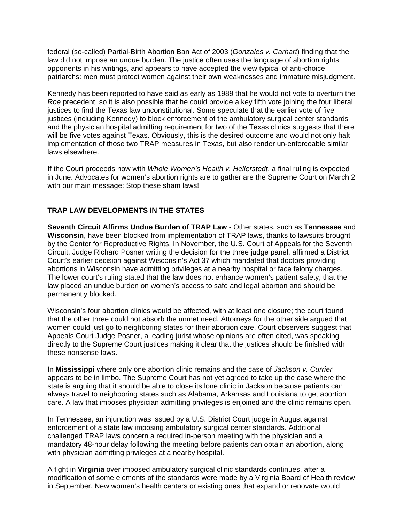federal (so-called) Partial-Birth Abortion Ban Act of 2003 (*Gonzales v. Carhart*) finding that the law did not impose an undue burden. The justice often uses the language of abortion rights opponents in his writings, and appears to have accepted the view typical of anti-choice patriarchs: men must protect women against their own weaknesses and immature misjudgment.

Kennedy has been reported to have said as early as 1989 that he would not vote to overturn the *Roe* precedent, so it is also possible that he could provide a key fifth vote joining the four liberal justices to find the Texas law unconstitutional. Some speculate that the earlier vote of five justices (including Kennedy) to block enforcement of the ambulatory surgical center standards and the physician hospital admitting requirement for two of the Texas clinics suggests that there will be five votes against Texas. Obviously, this is the desired outcome and would not only halt implementation of those two TRAP measures in Texas, but also render un-enforceable similar laws elsewhere.

If the Court proceeds now with *Whole Women's Health v. Hellerstedt*, a final ruling is expected in June. Advocates for women's abortion rights are to gather are the Supreme Court on March 2 with our main message: Stop these sham laws!

# **TRAP LAW DEVELOPMENTS IN THE STATES**

**Seventh Circuit Affirms Undue Burden of TRAP Law** - Other states, such as **Tennessee** and **Wisconsin**, have been blocked from implementation of TRAP laws, thanks to lawsuits brought by the Center for Reproductive Rights. In November, the U.S. Court of Appeals for the Seventh Circuit, Judge Richard Posner writing the decision for the three judge panel, affirmed a District Court's earlier decision against Wisconsin's Act 37 which mandated that doctors providing abortions in Wisconsin have admitting privileges at a nearby hospital or face felony charges. The lower court's ruling stated that the law does not enhance women's patient safety, that the law placed an undue burden on women's access to safe and legal abortion and should be permanently blocked.

Wisconsin's four abortion clinics would be affected, with at least one closure; the court found that the other three could not absorb the unmet need. Attorneys for the other side argued that women could just go to neighboring states for their abortion care. Court observers suggest that Appeals Court Judge Posner, a leading jurist whose opinions are often cited, was speaking directly to the Supreme Court justices making it clear that the justices should be finished with these nonsense laws.

In **Mississippi** where only one abortion clinic remains and the case of *Jackson v. Currier*  appears to be in limbo. The Supreme Court has not yet agreed to take up the case where the state is arguing that it should be able to close its lone clinic in Jackson because patients can always travel to neighboring states such as Alabama, Arkansas and Louisiana to get abortion care. A law that imposes physician admitting privileges is enjoined and the clinic remains open.

In Tennessee, an injunction was issued by a U.S. District Court judge in August against enforcement of a state law imposing ambulatory surgical center standards. Additional challenged TRAP laws concern a required in-person meeting with the physician and a mandatory 48-hour delay following the meeting before patients can obtain an abortion, along with physician admitting privileges at a nearby hospital.

A fight in **Virginia** over imposed ambulatory surgical clinic standards continues, after a modification of some elements of the standards were made by a Virginia Board of Health review in September. New women's health centers or existing ones that expand or renovate would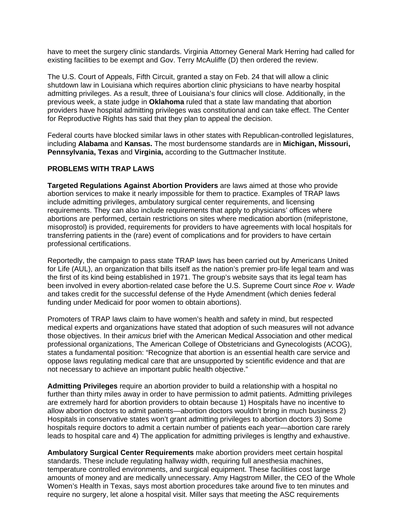have to meet the surgery clinic standards. Virginia Attorney General Mark Herring had called for existing facilities to be exempt and Gov. Terry McAuliffe (D) then ordered the review.

The U.S. Court of Appeals, Fifth Circuit, granted a stay on Feb. 24 that will allow a clinic shutdown law in Louisiana which requires abortion clinic physicians to have nearby hospital admitting privileges. As a result, three of Louisiana's four clinics will close. Additionally, in the previous week, a state judge in **Oklahoma** ruled that a state law mandating that abortion providers have hospital admitting privileges was constitutional and can take effect. The Center for Reproductive Rights has said that they plan to appeal the decision.

Federal courts have blocked similar laws in other states with Republican-controlled legislatures, including **Alabama** and **Kansas.** The most burdensome standards are in **Michigan, Missouri, Pennsylvania, Texas** and **Virginia,** according to the Guttmacher Institute.

#### **PROBLEMS WITH TRAP LAWS**

**Targeted Regulations Against Abortion Providers** are laws aimed at those who provide abortion services to make it nearly impossible for them to practice. Examples of TRAP laws include admitting privileges, ambulatory surgical center requirements, and licensing requirements. They can also include requirements that apply to physicians' offices where abortions are performed, certain restrictions on sites where medication abortion (mifepristone, misoprostol) is provided, requirements for providers to have agreements with local hospitals for transferring patients in the (rare) event of complications and for providers to have certain professional certifications.

Reportedly, the campaign to pass state TRAP laws has been carried out by Americans United for Life (AUL), an organization that bills itself as the nation's premier pro-life legal team and was the first of its kind being established in 1971. The group's website says that its legal team has been involved in every abortion-related case before the U.S. Supreme Court since *Roe v. Wade*  and takes credit for the successful defense of the Hyde Amendment (which denies federal funding under Medicaid for poor women to obtain abortions).

Promoters of TRAP laws claim to have women's health and safety in mind, but respected medical experts and organizations have stated that adoption of such measures will not advance those objectives. In their *amicus* brief with the American Medical Association and other medical professional organizations, The American College of Obstetricians and Gynecologists (ACOG), states a fundamental position: "Recognize that abortion is an essential health care service and oppose laws regulating medical care that are unsupported by scientific evidence and that are not necessary to achieve an important public health objective."

**Admitting Privileges** require an abortion provider to build a relationship with a hospital no further than thirty miles away in order to have permission to admit patients. Admitting privileges are extremely hard for abortion providers to obtain because 1) Hospitals have no incentive to allow abortion doctors to admit patients—abortion doctors wouldn't bring in much business 2) Hospitals in conservative states won't grant admitting privileges to abortion doctors 3) Some hospitals require doctors to admit a certain number of patients each year—abortion care rarely leads to hospital care and 4) The application for admitting privileges is lengthy and exhaustive.

**Ambulatory Surgical Center Requirements** make abortion providers meet certain hospital standards. These include regulating hallway width, requiring full anesthesia machines, temperature controlled environments, and surgical equipment. These facilities cost large amounts of money and are medically unnecessary. Amy Hagstrom Miller, the CEO of the Whole Women's Health in Texas, says most abortion procedures take around five to ten minutes and require no surgery, let alone a hospital visit. Miller says that meeting the ASC requirements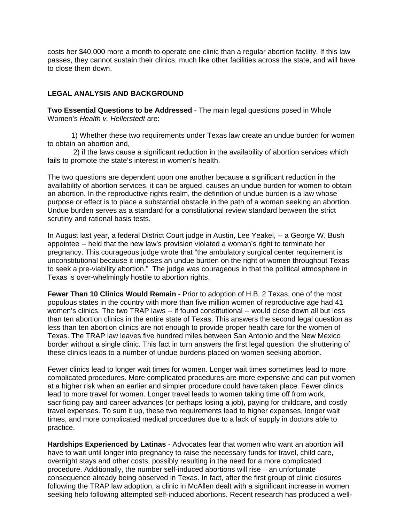costs her \$40,000 more a month to operate one clinic than a regular abortion facility. If this law passes, they cannot sustain their clinics, much like other facilities across the state, and will have to close them down.

### **LEGAL ANALYSIS AND BACKGROUND**

**Two Essential Questions to be Addressed** - The main legal questions posed in Whole Women's *Health v. Hellerstedt* are:

1) Whether these two requirements under Texas law create an undue burden for women to obtain an abortion and,

2) if the laws cause a significant reduction in the availability of abortion services which fails to promote the state's interest in women's health.

The two questions are dependent upon one another because a significant reduction in the availability of abortion services, it can be argued, causes an undue burden for women to obtain an abortion. In the reproductive rights realm, the definition of undue burden is a law whose purpose or effect is to place a substantial obstacle in the path of a woman seeking an abortion. Undue burden serves as a standard for a constitutional review standard between the strict scrutiny and rational basis tests.

In August last year, a federal District Court judge in Austin, Lee Yeakel, -- a George W. Bush appointee -- held that the new law's provision violated a woman's right to terminate her pregnancy. This courageous judge wrote that "the ambulatory surgical center requirement is unconstitutional because it imposes an undue burden on the right of women throughout Texas to seek a pre-viability abortion." The judge was courageous in that the political atmosphere in Texas is over-whelmingly hostile to abortion rights.

**Fewer Than 10 Clinics Would Remain** - Prior to adoption of H.B. 2 Texas, one of the most populous states in the country with more than five million women of reproductive age had 41 women's clinics. The two TRAP laws -- if found constitutional -- would close down all but less than ten abortion clinics in the entire state of Texas. This answers the second legal question as less than ten abortion clinics are not enough to provide proper health care for the women of Texas. The TRAP law leaves five hundred miles between San Antonio and the New Mexico border without a single clinic. This fact in turn answers the first legal question: the shuttering of these clinics leads to a number of undue burdens placed on women seeking abortion.

Fewer clinics lead to longer wait times for women. Longer wait times sometimes lead to more complicated procedures. More complicated procedures are more expensive and can put women at a higher risk when an earlier and simpler procedure could have taken place. Fewer clinics lead to more travel for women. Longer travel leads to women taking time off from work, sacrificing pay and career advances (or perhaps losing a job), paying for childcare, and costly travel expenses. To sum it up, these two requirements lead to higher expenses, longer wait times, and more complicated medical procedures due to a lack of supply in doctors able to practice.

**Hardships Experienced by Latinas** - Advocates fear that women who want an abortion will have to wait until longer into pregnancy to raise the necessary funds for travel, child care, overnight stays and other costs, possibly resulting in the need for a more complicated procedure. Additionally, the number self-induced abortions will rise – an unfortunate consequence already being observed in Texas. In fact, after the first group of clinic closures following the TRAP law adoption, a clinic in McAllen dealt with a significant increase in women seeking help following attempted self-induced abortions. Recent research has produced a well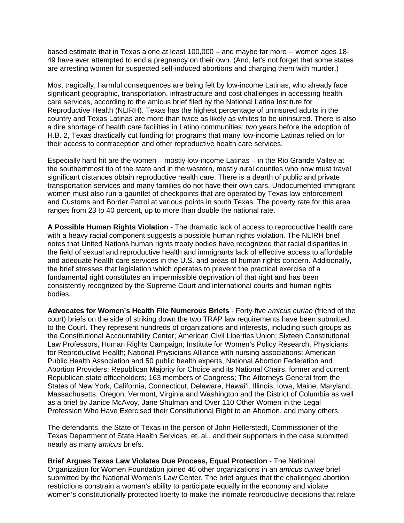based estimate that in Texas alone at least 100,000 – and maybe far more -- women ages 18- 49 have ever attempted to end a pregnancy on their own. (And, let's not forget that some states are arresting women for suspected self-induced abortions and charging them with murder.)

Most tragically, harmful consequences are being felt by low-income Latinas, who already face significant geographic, transportation, infrastructure and cost challenges in accessing health care services, according to the amicus brief filed by the National Latina Institute for Reproductive Health (NLIRH). Texas has the highest percentage of uninsured adults in the country and Texas Latinas are more than twice as likely as whites to be uninsured. There is also a dire shortage of health care facilities in Latino communities; two years before the adoption of H.B. 2, Texas drastically cut funding for programs that many low-income Latinas relied on for their access to contraception and other reproductive health care services.

Especially hard hit are the women – mostly low-income Latinas – in the Rio Grande Valley at the southernmost tip of the state and in the western, mostly rural counties who now must travel significant distances obtain reproductive health care. There is a dearth of public and private transportation services and many families do not have their own cars. Undocumented immigrant women must also run a gauntlet of checkpoints that are operated by Texas law enforcement and Customs and Border Patrol at various points in south Texas. The poverty rate for this area ranges from 23 to 40 percent, up to more than double the national rate.

**A Possible Human Rights Violation** - The dramatic lack of access to reproductive health care with a heavy racial component suggests a possible human rights violation. The NLIRH brief notes that United Nations human rights treaty bodies have recognized that racial disparities in the field of sexual and reproductive health and immigrants lack of effective access to affordable and adequate health care services in the U.S. and areas of human rights concern. Additionally, the brief stresses that legislation which operates to prevent the practical exercise of a fundamental right constitutes an impermissible deprivation of that right and has been consistently recognized by the Supreme Court and international courts and human rights bodies.

**Advocates for Women's Health File Numerous Briefs** - Forty-five *amicus curiae* (friend of the court) briefs on the side of striking down the two TRAP law requirements have been submitted to the Court. They represent hundreds of organizations and interests, including such groups as the Constitutional Accountability Center; American Civil Liberties Union; Sixteen Constitutional Law Professors, Human Rights Campaign; Institute for Women's Policy Research, Physicians for Reproductive Health; National Physicians Alliance with nursing associations; American Public Health Association and 50 public health experts, National Abortion Federation and Abortion Providers; Republican Majority for Choice and its National Chairs, former and current Republican state officeholders; 163 members of Congress; The Attorneys General from the States of New York, California, Connecticut, Delaware, Hawai'i, Illinois, Iowa, Maine, Maryland, Massachusetts, Oregon, Vermont, Virginia and Washington and the District of Columbia as well as a brief by Janice McAvoy, Jane Shulman and Over 110 Other Women in the Legal Profession Who Have Exercised their Constitutional Right to an Abortion, and many others.

The defendants, the State of Texas in the person of John Hellerstedt, Commissioner of the Texas Department of State Health Services, et. al., and their supporters in the case submitted nearly as many *amicus* briefs.

**Brief Argues Texas Law Violates Due Process, Equal Protection** - The National Organization for Women Foundation joined 46 other organizations in an *amicus curiae* brief submitted by the National Women's Law Center. The brief argues that the challenged abortion restrictions constrain a woman's ability to participate equally in the economy and violate women's constitutionally protected liberty to make the intimate reproductive decisions that relate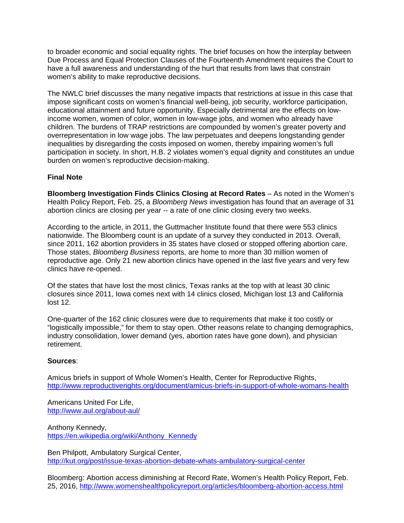to broader economic and social equality rights. The brief focuses on how the interplay between Due Process and Equal Protection Clauses of the Fourteenth Amendment requires the Court to have a full awareness and understanding of the hurt that results from laws that constrain women's ability to make reproductive decisions.

The NWLC brief discusses the many negative impacts that restrictions at issue in this case that impose significant costs on women's financial well-being, job security, workforce participation, educational attainment and future opportunity. Especially detrimental are the effects on lowincome women, women of color, women in low-wage jobs, and women who already have children. The burdens of TRAP restrictions are compounded by women's greater poverty and overrepresentation in low wage jobs. The law perpetuates and deepens longstanding gender inequalities by disregarding the costs imposed on women, thereby impairing women's full participation in society. In short, H.B. 2 violates women's equal dignity and constitutes an undue burden on women's reproductive decision-making.

# **Final Note**

**Bloomberg Investigation Finds Clinics Closing at Record Rates** – As noted in the Women's Health Policy Report, Feb. 25, a *Bloomberg News* investigation has found that an average of 31 abortion clinics are closing per year -- a rate of one clinic closing every two weeks.

According to the article, in 2011, the Guttmacher Institute found that there were 553 clinics nationwide. The Bloomberg count is an update of a survey they conducted in 2013. Overall, since 2011, 162 abortion providers in 35 states have closed or stopped offering abortion care. Those states, *Bloomberg Business* reports, are home to more than 30 million women of reproductive age. Only 21 new abortion clinics have opened in the last five years and very few clinics have re-opened.

Of the states that have lost the most clinics, Texas ranks at the top with at least 30 clinic closures since 2011, Iowa comes next with 14 clinics closed, Michigan lost 13 and California lost 12.

One-quarter of the 162 clinic closures were due to requirements that make it too costly or "logistically impossible," for them to stay open. Other reasons relate to changing demographics, industry consolidation, lower demand (yes, abortion rates have gone down), and physician retirement.

# **Sources**:

Amicus briefs in support of Whole Women's Health, Center for Reproductive Rights, <http://www.reproductiverights.org/document/amicus-briefs-in-support-of-whole-womans-health>

Americans United For Life, <http://www.aul.org/about-aul/>

Anthony Kennedy, [https://en.wikipedia.org/wiki/Anthony\\_Kennedy](https://en.wikipedia.org/wiki/Anthony_Kennedy)

Ben Philpott, Ambulatory Surgical Center, <http://kut.org/post/issue-texas-abortion-debate-whats-ambulatory-surgical-center>

Bloomberg: Abortion access diminishing at Record Rate, Women's Health Policy Report, Feb. 25, 2016,<http://www.womenshealthpolicyreport.org/articles/bloomberg-abortion-access.html>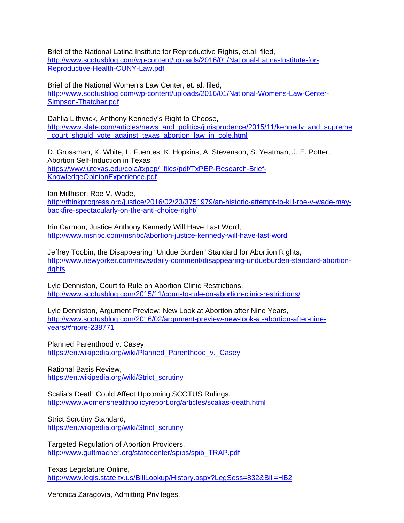Brief of the National Latina Institute for Reproductive Rights, et.al. filed, [http://www.scotusblog.com/wp-content/uploads/2016/01/National-Latina-Institute-for-](http://www.scotusblog.com/wp-content/uploads/2016/01/National-Latina-Institute-for-Reproductive-Health-CUNY-Law.pdf)[Reproductive-Health-CUNY-Law.pdf](http://www.scotusblog.com/wp-content/uploads/2016/01/National-Latina-Institute-for-Reproductive-Health-CUNY-Law.pdf)

Brief of the National Women's Law Center, et. al. filed, http://www.scotusblog.com/wp-content/uploads/2016/01/National-Womens-Law-Center-Simpson-Thatcher.pdf

Dahlia Lithwick, Anthony Kennedy's Right to Choose, [http://www.slate.com/articles/news\\_and\\_politics/jurisprudence/2015/11/kennedy\\_and\\_supreme](http://www.slate.com/articles/news_and_politics/jurisprudence/2015/11/kennedy_and_supreme_court_should_vote_against_texas_abortion_law_in_cole.html) [\\_court\\_should\\_vote\\_against\\_texas\\_abortion\\_law\\_in\\_cole.html](http://www.slate.com/articles/news_and_politics/jurisprudence/2015/11/kennedy_and_supreme_court_should_vote_against_texas_abortion_law_in_cole.html)

D. Grossman, K. White, L. Fuentes, K. Hopkins, A. Stevenson, S. Yeatman, J. E. Potter, Abortion Self-Induction in Texas [https://www.utexas.edu/cola/txpep/\\_files/pdf/TxPEP-Research-Brief-](https://www.utexas.edu/cola/txpep/_files/pdf/TxPEP-Research-Brief-KnowledgeOpinionExperience.pdf)[KnowledgeOpinionExperience.pdf](https://www.utexas.edu/cola/txpep/_files/pdf/TxPEP-Research-Brief-KnowledgeOpinionExperience.pdf)

Ian Millhiser, Roe V. Wade, [http://thinkprogress.org/justice/2016/02/23/3751979/an-historic-attempt-to-kill-roe-v-wade-may](http://thinkprogress.org/justice/2016/02/23/3751979/an-historic-attempt-to-kill-roe-v-wade-may-backfire-spectacularly-on-the-anti-choice-right/)[backfire-spectacularly-on-the-anti-choice-right/](http://thinkprogress.org/justice/2016/02/23/3751979/an-historic-attempt-to-kill-roe-v-wade-may-backfire-spectacularly-on-the-anti-choice-right/)

Irin Carmon, Justice Anthony Kennedy Will Have Last Word, <http://www.msnbc.com/msnbc/abortion-justice-kennedy-will-have-last-word>

Jeffrey Toobin, the Disappearing "Undue Burden" Standard for Abortion Rights, [http://www.newyorker.com/news/daily-comment/disappearing-undueburden-standard-abortion](http://www.newyorker.com/news/daily-comment/disappearing-undueburden-standard-abortion-rights)[rights](http://www.newyorker.com/news/daily-comment/disappearing-undueburden-standard-abortion-rights)

Lyle Denniston, Court to Rule on Abortion Clinic Restrictions, <http://www.scotusblog.com/2015/11/court-to-rule-on-abortion-clinic-restrictions/>

Lyle Denniston, Argument Preview: New Look at Abortion after Nine Years, [http://www.scotusblog.com/2016/02/argument-preview-new-look-at-abortion-after-nine](http://www.scotusblog.com/2016/02/argument-preview-new-look-at-abortion-after-nine-years/#more-238771)[years/#more-238771](http://www.scotusblog.com/2016/02/argument-preview-new-look-at-abortion-after-nine-years/#more-238771)

Planned Parenthood v. Casey, [https://en.wikipedia.org/wiki/Planned\\_Parenthood\\_v.\\_Casey](https://en.wikipedia.org/wiki/Planned_Parenthood_v._Casey)

Rational Basis Review, [https://en.wikipedia.org/wiki/Strict\\_scrutiny](https://en.wikipedia.org/wiki/Strict_scrutiny)

Scalia's Death Could Affect Upcoming SCOTUS Rulings, <http://www.womenshealthpolicyreport.org/articles/scalias-death.html>

Strict Scrutiny Standard, [https://en.wikipedia.org/wiki/Strict\\_scrutiny](https://en.wikipedia.org/wiki/Strict_scrutiny)

Targeted Regulation of Abortion Providers, [http://www.guttmacher.org/statecenter/spibs/spib\\_TRAP.pdf](http://www.guttmacher.org/statecenter/spibs/spib_TRAP.pdf)

Texas Legislature Online, <http://www.legis.state.tx.us/BillLookup/History.aspx?LegSess=832&Bill=HB2>

Veronica Zaragovia, Admitting Privileges,